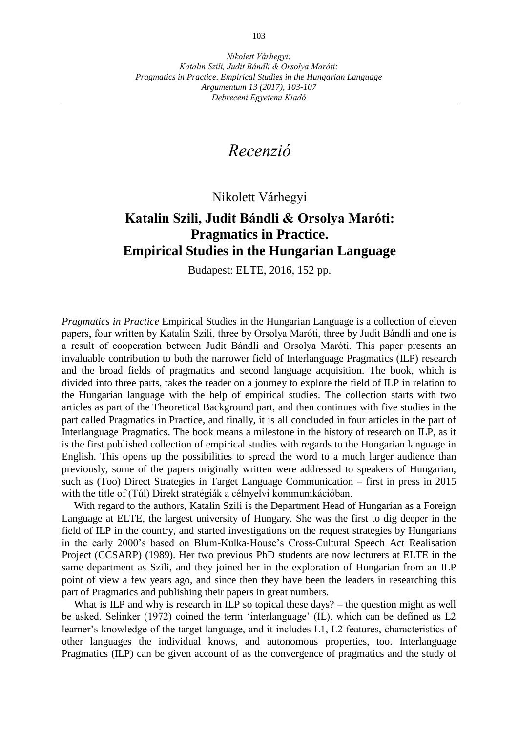## *Recenzió*

Nikolett Várhegyi

## **Katalin Szili, Judit Bándli & Orsolya Maróti: Pragmatics in Practice. Empirical Studies in the Hungarian Language**

Budapest: ELTE, 2016, 152 pp.

*Pragmatics in Practice* Empirical Studies in the Hungarian Language is a collection of eleven papers, four written by Katalin Szili, three by Orsolya Maróti, three by Judit Bándli and one is a result of cooperation between Judit Bándli and Orsolya Maróti. This paper presents an invaluable contribution to both the narrower field of Interlanguage Pragmatics (ILP) research and the broad fields of pragmatics and second language acquisition. The book, which is divided into three parts, takes the reader on a journey to explore the field of ILP in relation to the Hungarian language with the help of empirical studies. The collection starts with two articles as part of the Theoretical Background part, and then continues with five studies in the part called Pragmatics in Practice, and finally, it is all concluded in four articles in the part of Interlanguage Pragmatics. The book means a milestone in the history of research on ILP, as it is the first published collection of empirical studies with regards to the Hungarian language in English. This opens up the possibilities to spread the word to a much larger audience than previously, some of the papers originally written were addressed to speakers of Hungarian, such as (Too) Direct Strategies in Target Language Communication – first in press in 2015 with the title of (Túl) Direkt stratégiák a célnyelvi kommunikációban.

With regard to the authors, Katalin Szili is the Department Head of Hungarian as a Foreign Language at ELTE, the largest university of Hungary. She was the first to dig deeper in the field of ILP in the country, and started investigations on the request strategies by Hungarians in the early 2000's based on Blum-Kulka-House's Cross-Cultural Speech Act Realisation Project (CCSARP) (1989). Her two previous PhD students are now lecturers at ELTE in the same department as Szili, and they joined her in the exploration of Hungarian from an ILP point of view a few years ago, and since then they have been the leaders in researching this part of Pragmatics and publishing their papers in great numbers.

What is ILP and why is research in ILP so topical these days? – the question might as well be asked. Selinker (1972) coined the term 'interlanguage' (IL), which can be defined as L2 learner's knowledge of the target language, and it includes L1, L2 features, characteristics of other languages the individual knows, and autonomous properties, too. Interlanguage Pragmatics (ILP) can be given account of as the convergence of pragmatics and the study of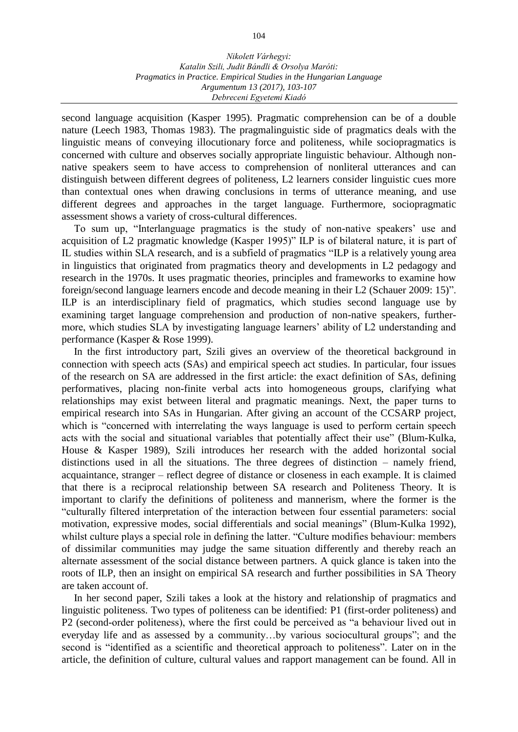second language acquisition (Kasper 1995). Pragmatic comprehension can be of a double nature (Leech 1983, Thomas 1983). The pragmalinguistic side of pragmatics deals with the linguistic means of conveying illocutionary force and politeness, while sociopragmatics is concerned with culture and observes socially appropriate linguistic behaviour. Although nonnative speakers seem to have access to comprehension of nonliteral utterances and can distinguish between different degrees of politeness, L2 learners consider linguistic cues more than contextual ones when drawing conclusions in terms of utterance meaning, and use different degrees and approaches in the target language. Furthermore, sociopragmatic assessment shows a variety of cross-cultural differences.

To sum up, "Interlanguage pragmatics is the study of non-native speakers' use and acquisition of L2 pragmatic knowledge (Kasper 1995)" ILP is of bilateral nature, it is part of IL studies within SLA research, and is a subfield of pragmatics "ILP is a relatively young area in linguistics that originated from pragmatics theory and developments in L2 pedagogy and research in the 1970s. It uses pragmatic theories, principles and frameworks to examine how foreign/second language learners encode and decode meaning in their L2 (Schauer 2009: 15)". ILP is an interdisciplinary field of pragmatics, which studies second language use by examining target language comprehension and production of non-native speakers, furthermore, which studies SLA by investigating language learners' ability of L2 understanding and performance (Kasper & Rose 1999).

In the first introductory part, Szili gives an overview of the theoretical background in connection with speech acts (SAs) and empirical speech act studies. In particular, four issues of the research on SA are addressed in the first article: the exact definition of SAs, defining performatives, placing non-finite verbal acts into homogeneous groups, clarifying what relationships may exist between literal and pragmatic meanings. Next, the paper turns to empirical research into SAs in Hungarian. After giving an account of the CCSARP project, which is "concerned with interrelating the ways language is used to perform certain speech acts with the social and situational variables that potentially affect their use" (Blum-Kulka, House & Kasper 1989), Szili introduces her research with the added horizontal social distinctions used in all the situations. The three degrees of distinction  $-$  namely friend, acquaintance, stranger – reflect degree of distance or closeness in each example. It is claimed that there is a reciprocal relationship between SA research and Politeness Theory. It is important to clarify the definitions of politeness and mannerism, where the former is the "culturally filtered interpretation of the interaction between four essential parameters: social motivation, expressive modes, social differentials and social meanings" (Blum-Kulka 1992), whilst culture plays a special role in defining the latter. "Culture modifies behaviour: members of dissimilar communities may judge the same situation differently and thereby reach an alternate assessment of the social distance between partners. A quick glance is taken into the roots of ILP, then an insight on empirical SA research and further possibilities in SA Theory are taken account of.

In her second paper, Szili takes a look at the history and relationship of pragmatics and linguistic politeness. Two types of politeness can be identified: P1 (first-order politeness) and P2 (second-order politeness), where the first could be perceived as "a behaviour lived out in everyday life and as assessed by a community…by various sociocultural groups"; and the second is "identified as a scientific and theoretical approach to politeness". Later on in the article, the definition of culture, cultural values and rapport management can be found. All in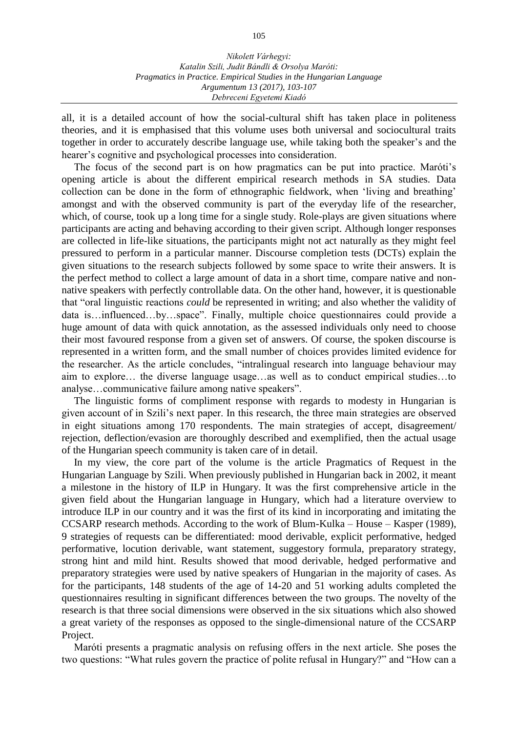all, it is a detailed account of how the social-cultural shift has taken place in politeness theories, and it is emphasised that this volume uses both universal and sociocultural traits together in order to accurately describe language use, while taking both the speaker's and the hearer's cognitive and psychological processes into consideration.

The focus of the second part is on how pragmatics can be put into practice. Maróti's opening article is about the different empirical research methods in SA studies. Data collection can be done in the form of ethnographic fieldwork, when 'living and breathing' amongst and with the observed community is part of the everyday life of the researcher, which, of course, took up a long time for a single study. Role-plays are given situations where participants are acting and behaving according to their given script. Although longer responses are collected in life-like situations, the participants might not act naturally as they might feel pressured to perform in a particular manner. Discourse completion tests (DCTs) explain the given situations to the research subjects followed by some space to write their answers. It is the perfect method to collect a large amount of data in a short time, compare native and nonnative speakers with perfectly controllable data. On the other hand, however, it is questionable that "oral linguistic reactions *could* be represented in writing; and also whether the validity of data is…influenced…by…space". Finally, multiple choice questionnaires could provide a huge amount of data with quick annotation, as the assessed individuals only need to choose their most favoured response from a given set of answers. Of course, the spoken discourse is represented in a written form, and the small number of choices provides limited evidence for the researcher. As the article concludes, "intralingual research into language behaviour may aim to explore… the diverse language usage…as well as to conduct empirical studies…to analyse…communicative failure among native speakers".

The linguistic forms of compliment response with regards to modesty in Hungarian is given account of in Szili's next paper. In this research, the three main strategies are observed in eight situations among 170 respondents. The main strategies of accept, disagreement/ rejection, deflection/evasion are thoroughly described and exemplified, then the actual usage of the Hungarian speech community is taken care of in detail.

In my view, the core part of the volume is the article Pragmatics of Request in the Hungarian Language by Szili. When previously published in Hungarian back in 2002, it meant a milestone in the history of ILP in Hungary. It was the first comprehensive article in the given field about the Hungarian language in Hungary, which had a literature overview to introduce ILP in our country and it was the first of its kind in incorporating and imitating the CCSARP research methods. According to the work of Blum-Kulka – House – Kasper (1989), 9 strategies of requests can be differentiated: mood derivable, explicit performative, hedged performative, locution derivable, want statement, suggestory formula, preparatory strategy, strong hint and mild hint. Results showed that mood derivable, hedged performative and preparatory strategies were used by native speakers of Hungarian in the majority of cases. As for the participants, 148 students of the age of 14-20 and 51 working adults completed the questionnaires resulting in significant differences between the two groups. The novelty of the research is that three social dimensions were observed in the six situations which also showed a great variety of the responses as opposed to the single-dimensional nature of the CCSARP Project.

Maróti presents a pragmatic analysis on refusing offers in the next article. She poses the two questions: "What rules govern the practice of polite refusal in Hungary?" and "How can a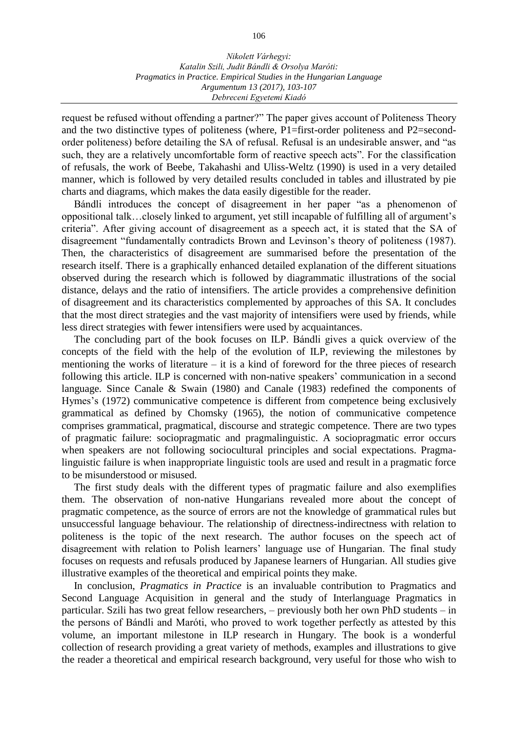request be refused without offending a partner?" The paper gives account of Politeness Theory and the two distinctive types of politeness (where, P1=first-order politeness and P2=secondorder politeness) before detailing the SA of refusal. Refusal is an undesirable answer, and "as such, they are a relatively uncomfortable form of reactive speech acts". For the classification of refusals, the work of Beebe, Takahashi and Uliss-Weltz (1990) is used in a very detailed manner, which is followed by very detailed results concluded in tables and illustrated by pie charts and diagrams, which makes the data easily digestible for the reader.

Bándli introduces the concept of disagreement in her paper "as a phenomenon of oppositional talk…closely linked to argument, yet still incapable of fulfilling all of argument's criteria". After giving account of disagreement as a speech act, it is stated that the SA of disagreement "fundamentally contradicts Brown and Levinson's theory of politeness (1987). Then, the characteristics of disagreement are summarised before the presentation of the research itself. There is a graphically enhanced detailed explanation of the different situations observed during the research which is followed by diagrammatic illustrations of the social distance, delays and the ratio of intensifiers. The article provides a comprehensive definition of disagreement and its characteristics complemented by approaches of this SA. It concludes that the most direct strategies and the vast majority of intensifiers were used by friends, while less direct strategies with fewer intensifiers were used by acquaintances.

The concluding part of the book focuses on ILP. Bándli gives a quick overview of the concepts of the field with the help of the evolution of ILP, reviewing the milestones by mentioning the works of literature – it is a kind of foreword for the three pieces of research following this article. ILP is concerned with non-native speakers' communication in a second language. Since Canale & Swain (1980) and Canale (1983) redefined the components of Hymes's (1972) communicative competence is different from competence being exclusively grammatical as defined by Chomsky (1965), the notion of communicative competence comprises grammatical, pragmatical, discourse and strategic competence. There are two types of pragmatic failure: sociopragmatic and pragmalinguistic. A sociopragmatic error occurs when speakers are not following sociocultural principles and social expectations. Pragmalinguistic failure is when inappropriate linguistic tools are used and result in a pragmatic force to be misunderstood or misused.

The first study deals with the different types of pragmatic failure and also exemplifies them. The observation of non-native Hungarians revealed more about the concept of pragmatic competence, as the source of errors are not the knowledge of grammatical rules but unsuccessful language behaviour. The relationship of directness-indirectness with relation to politeness is the topic of the next research. The author focuses on the speech act of disagreement with relation to Polish learners' language use of Hungarian. The final study focuses on requests and refusals produced by Japanese learners of Hungarian. All studies give illustrative examples of the theoretical and empirical points they make.

In conclusion, *Pragmatics in Practice* is an invaluable contribution to Pragmatics and Second Language Acquisition in general and the study of Interlanguage Pragmatics in particular. Szili has two great fellow researchers, – previously both her own PhD students – in the persons of Bándli and Maróti, who proved to work together perfectly as attested by this volume, an important milestone in ILP research in Hungary. The book is a wonderful collection of research providing a great variety of methods, examples and illustrations to give the reader a theoretical and empirical research background, very useful for those who wish to